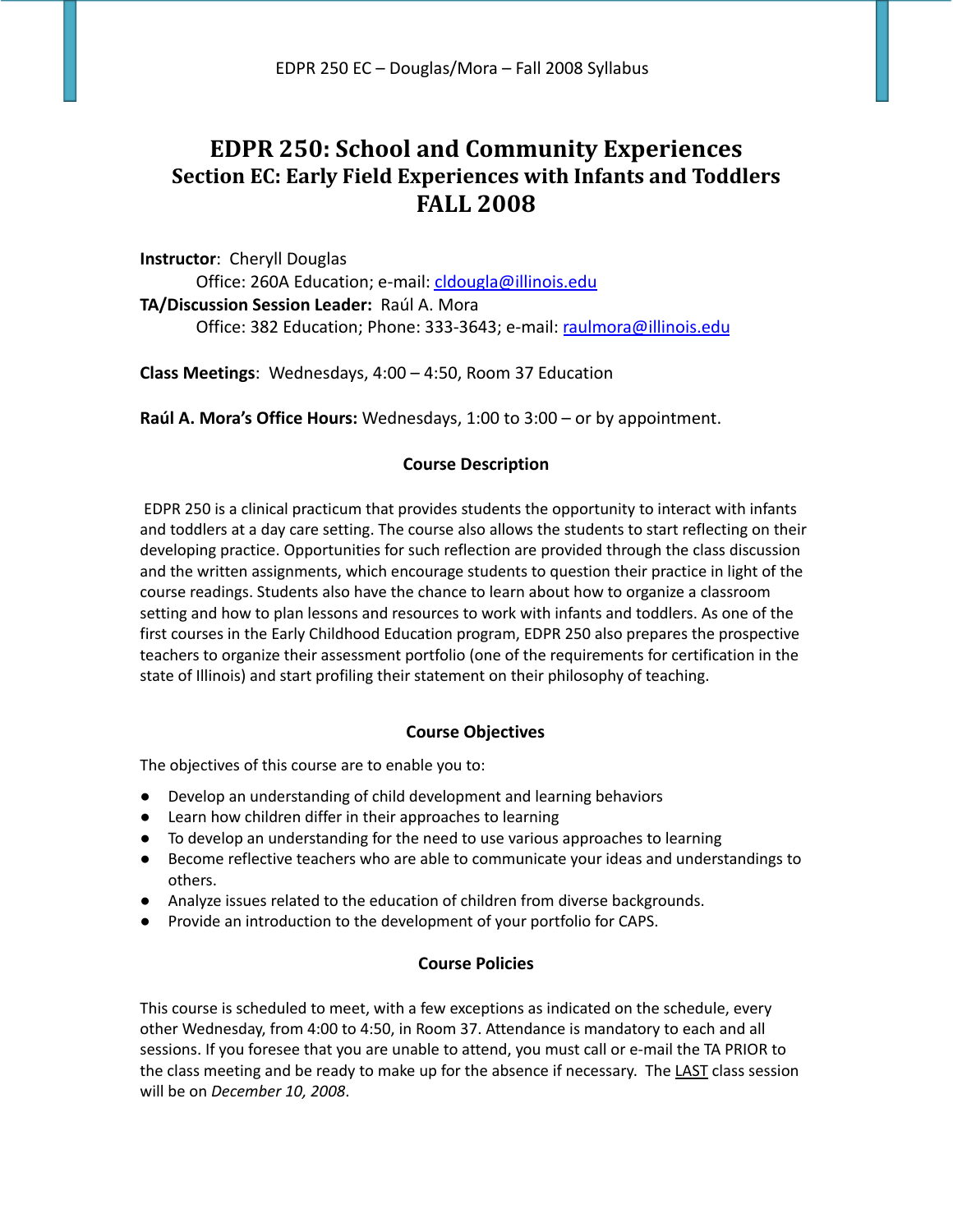# **EDPR 250: School and Community Experiences Section EC: Early Field Experiences with Infants and Toddlers FALL 2008**

**Instructor**: Cheryll Douglas Office: 260A Education; e-mail: [cldougla@illinois.edu](mailto:cldougla@illinois.edu) **TA/Discussion Session Leader:** Raúl A. Mora Office: 382 Education; Phone: 333-3643; e-mail: [raulmora@illinois.edu](mailto:raulmora@illinois.edu)

**Class Meetings**: Wednesdays, 4:00 – 4:50, Room 37 Education

**Raúl A. Mora's Office Hours:** Wednesdays, 1:00 to 3:00 – or by appointment.

# **Course Description**

EDPR 250 is a clinical practicum that provides students the opportunity to interact with infants and toddlers at a day care setting. The course also allows the students to start reflecting on their developing practice. Opportunities for such reflection are provided through the class discussion and the written assignments, which encourage students to question their practice in light of the course readings. Students also have the chance to learn about how to organize a classroom setting and how to plan lessons and resources to work with infants and toddlers. As one of the first courses in the Early Childhood Education program, EDPR 250 also prepares the prospective teachers to organize their assessment portfolio (one of the requirements for certification in the state of Illinois) and start profiling their statement on their philosophy of teaching.

# **Course Objectives**

The objectives of this course are to enable you to:

- Develop an understanding of child development and learning behaviors
- Learn how children differ in their approaches to learning
- To develop an understanding for the need to use various approaches to learning
- Become reflective teachers who are able to communicate your ideas and understandings to others.
- Analyze issues related to the education of children from diverse backgrounds.
- Provide an introduction to the development of your portfolio for CAPS.

# **Course Policies**

This course is scheduled to meet, with a few exceptions as indicated on the schedule, every other Wednesday, from 4:00 to 4:50, in Room 37. Attendance is mandatory to each and all sessions. If you foresee that you are unable to attend, you must call or e-mail the TA PRIOR to the class meeting and be ready to make up for the absence if necessary. The LAST class session will be on *December 10, 2008*.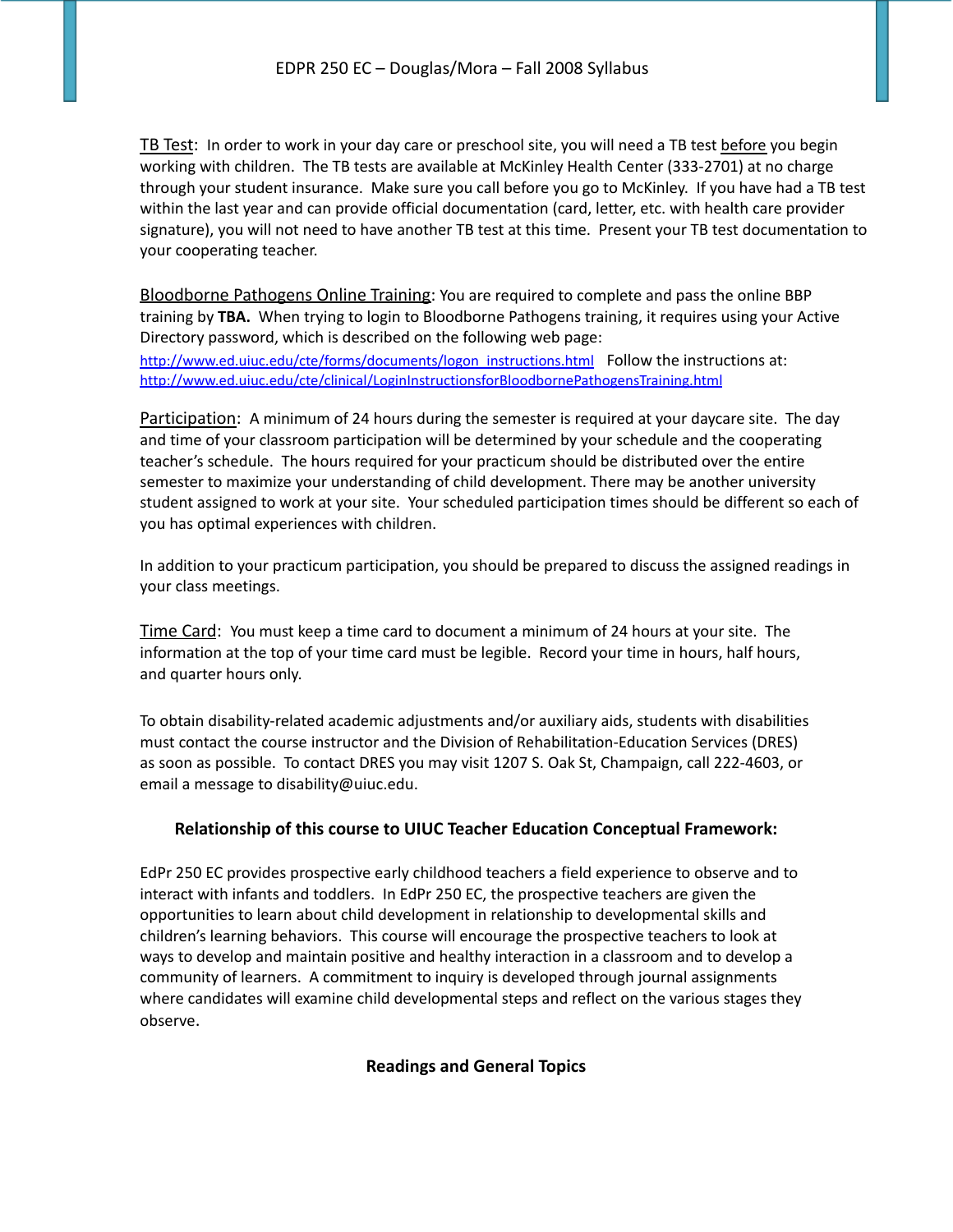TB Test: In order to work in your day care or preschool site, you will need a TB test before you begin working with children. The TB tests are available at McKinley Health Center (333-2701) at no charge through your student insurance. Make sure you call before you go to McKinley. If you have had a TB test within the last year and can provide official documentation (card, letter, etc. with health care provider signature), you will not need to have another TB test at this time. Present your TB test documentation to your cooperating teacher.

Bloodborne Pathogens Online Training: You are required to complete and pass the online BBP training by **TBA.** When trying to login to Bloodborne Pathogens training, it requires using your Active Directory password, which is described on the following web page:

[http://www.ed.uiuc.edu/cte/forms/documents/logon\\_instructions.html](http://www.ed.uiuc.edu/cte/forms/documents/logon_instructions.html) Follow the instructions at: <http://www.ed.uiuc.edu/cte/clinical/LoginInstructionsforBloodbornePathogensTraining.html>

Participation: A minimum of 24 hours during the semester is required at your daycare site. The day and time of your classroom participation will be determined by your schedule and the cooperating teacher's schedule. The hours required for your practicum should be distributed over the entire semester to maximize your understanding of child development. There may be another university student assigned to work at your site. Your scheduled participation times should be different so each of you has optimal experiences with children.

In addition to your practicum participation, you should be prepared to discuss the assigned readings in your class meetings.

Time Card: You must keep a time card to document a minimum of 24 hours at your site. The information at the top of your time card must be legible. Record your time in hours, half hours, and quarter hours only.

To obtain disability-related academic adjustments and/or auxiliary aids, students with disabilities must contact the course instructor and the Division of Rehabilitation-Education Services (DRES) as soon as possible. To contact DRES you may visit 1207 S. Oak St, Champaign, call 222-4603, or email a message to disability@uiuc.edu.

# **Relationship of this course to UIUC Teacher Education Conceptual Framework:**

EdPr 250 EC provides prospective early childhood teachers a field experience to observe and to interact with infants and toddlers. In EdPr 250 EC, the prospective teachers are given the opportunities to learn about child development in relationship to developmental skills and children's learning behaviors. This course will encourage the prospective teachers to look at ways to develop and maintain positive and healthy interaction in a classroom and to develop a community of learners. A commitment to inquiry is developed through journal assignments where candidates will examine child developmental steps and reflect on the various stages they observe.

**Readings and General Topics**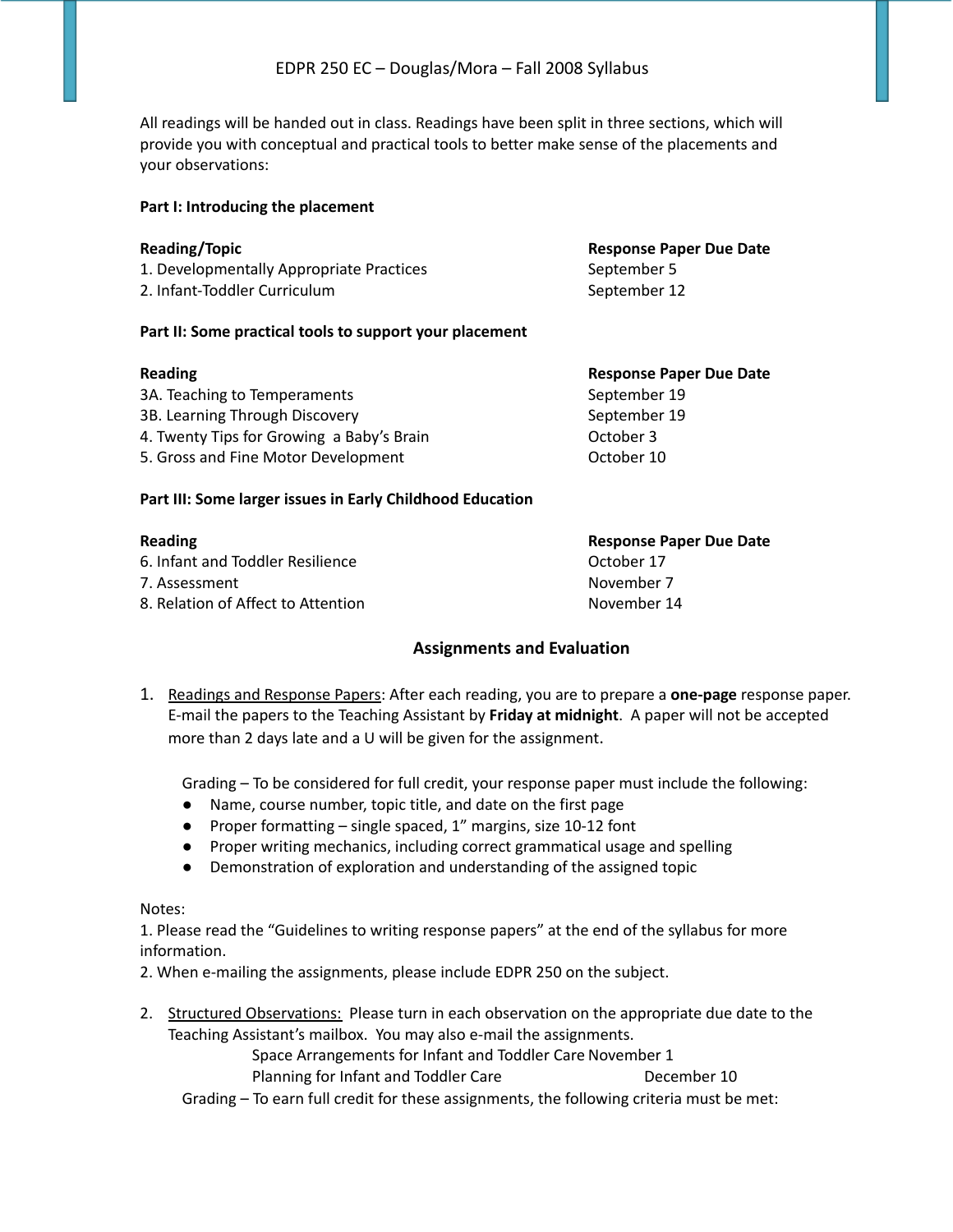All readings will be handed out in class. Readings have been split in three sections, which will provide you with conceptual and practical tools to better make sense of the placements and your observations:

### **Part I: Introducing the placement**

| <b>Reading/Topic</b>                     | <b>Response Paper Due Date</b> |
|------------------------------------------|--------------------------------|
| 1. Developmentally Appropriate Practices | September 5                    |
| 2. Infant-Toddler Curriculum             | September 12                   |
|                                          |                                |

### **Part II: Some practical tools to support your placement**

| <b>Reading</b>                            | <b>Response Paper Due Date</b><br>September 19 |  |
|-------------------------------------------|------------------------------------------------|--|
| 3A. Teaching to Temperaments              |                                                |  |
| 3B. Learning Through Discovery            | September 19                                   |  |
| 4. Twenty Tips for Growing a Baby's Brain | October 3                                      |  |
| 5. Gross and Fine Motor Development       | October 10                                     |  |

### **Part III: Some larger issues in Early Childhood Education**

6. Infant and Toddler Resilience October 17 7. Assessment November 7

**Reading Response Paper Due Date** 8. Relation of Affect to Attention November 14

### **Assignments and Evaluation**

1. Readings and Response Papers: After each reading, you are to prepare a **one-page** response paper. E-mail the papers to the Teaching Assistant by **Friday at midnight**. A paper will not be accepted more than 2 days late and a U will be given for the assignment.

Grading – To be considered for full credit, your response paper must include the following:

- Name, course number, topic title, and date on the first page
- Proper formatting single spaced, 1" margins, size 10-12 font
- Proper writing mechanics, including correct grammatical usage and spelling
- Demonstration of exploration and understanding of the assigned topic

### Notes:

1. Please read the "Guidelines to writing response papers" at the end of the syllabus for more information.

2. When e-mailing the assignments, please include EDPR 250 on the subject.

2. Structured Observations: Please turn in each observation on the appropriate due date to the Teaching Assistant's mailbox. You may also e-mail the assignments.

> Space Arrangements for Infant and Toddler Care November 1 Planning for Infant and Toddler Care **December 10**

Grading – To earn full credit for these assignments, the following criteria must be met: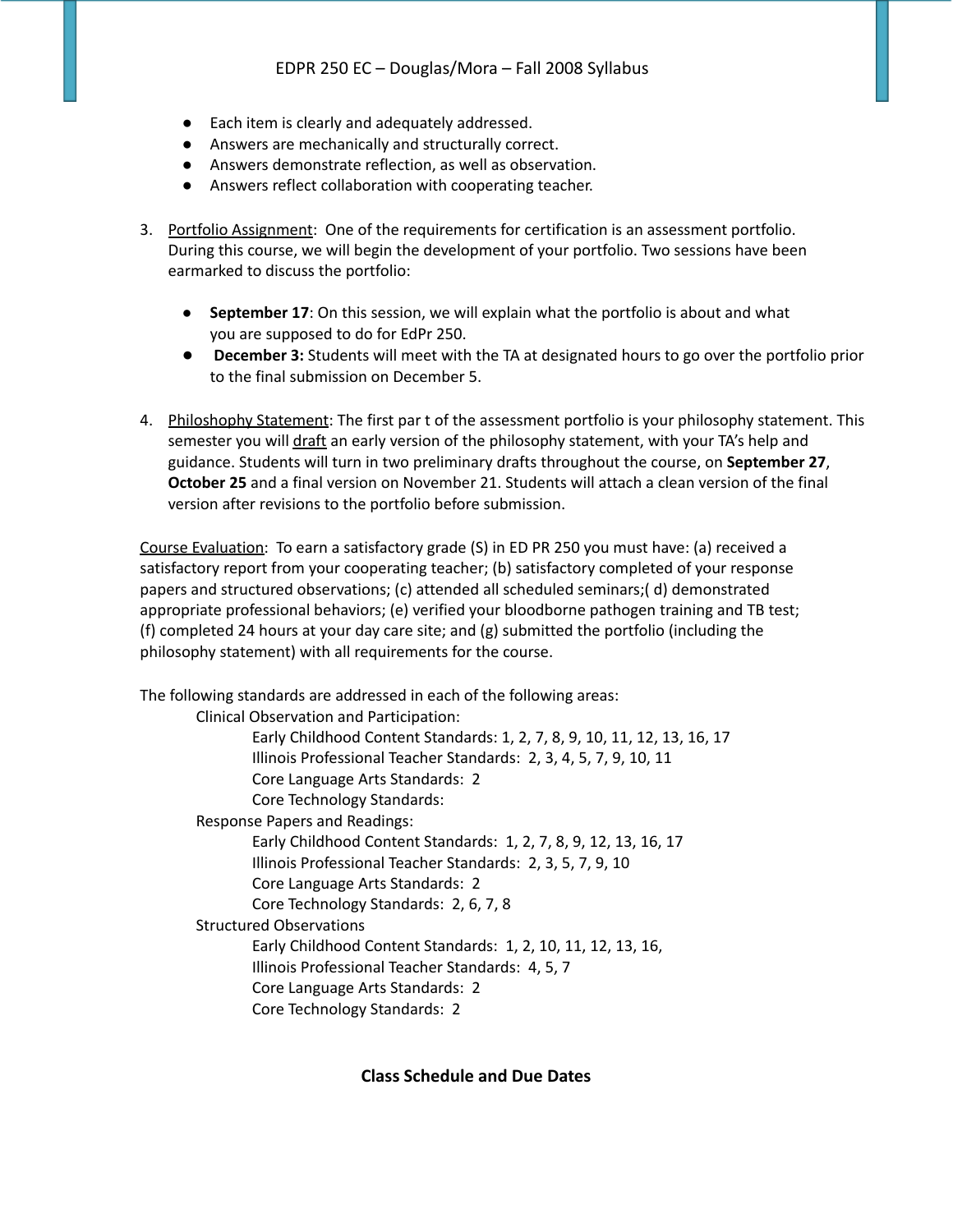- Each item is clearly and adequately addressed.
- Answers are mechanically and structurally correct.
- Answers demonstrate reflection, as well as observation.
- Answers reflect collaboration with cooperating teacher.
- 3. Portfolio Assignment: One of the requirements for certification is an assessment portfolio. During this course, we will begin the development of your portfolio. Two sessions have been earmarked to discuss the portfolio:
	- **September 17**: On this session, we will explain what the portfolio is about and what you are supposed to do for EdPr 250.
	- **December 3:** Students will meet with the TA at designated hours to go over the portfolio prior to the final submission on December 5.
- 4. Philoshophy Statement: The first par t of the assessment portfolio is your philosophy statement. This semester you will draft an early version of the philosophy statement, with your TA's help and guidance. Students will turn in two preliminary drafts throughout the course, on **September 27**, **October 25** and a final version on November 21. Students will attach a clean version of the final version after revisions to the portfolio before submission.

Course Evaluation: To earn a satisfactory grade (S) in ED PR 250 you must have: (a) received a satisfactory report from your cooperating teacher; (b) satisfactory completed of your response papers and structured observations; (c) attended all scheduled seminars;( d) demonstrated appropriate professional behaviors; (e) verified your bloodborne pathogen training and TB test; (f) completed 24 hours at your day care site; and (g) submitted the portfolio (including the philosophy statement) with all requirements for the course.

The following standards are addressed in each of the following areas:

Clinical Observation and Participation:

Early Childhood Content Standards: 1, 2, 7, 8, 9, 10, 11, 12, 13, 16, 17 Illinois Professional Teacher Standards: 2, 3, 4, 5, 7, 9, 10, 11 Core Language Arts Standards: 2 Core Technology Standards: Response Papers and Readings: Early Childhood Content Standards: 1, 2, 7, 8, 9, 12, 13, 16, 17 Illinois Professional Teacher Standards: 2, 3, 5, 7, 9, 10 Core Language Arts Standards: 2 Core Technology Standards: 2, 6, 7, 8 Structured Observations Early Childhood Content Standards: 1, 2, 10, 11, 12, 13, 16, Illinois Professional Teacher Standards: 4, 5, 7 Core Language Arts Standards: 2 Core Technology Standards: 2

**Class Schedule and Due Dates**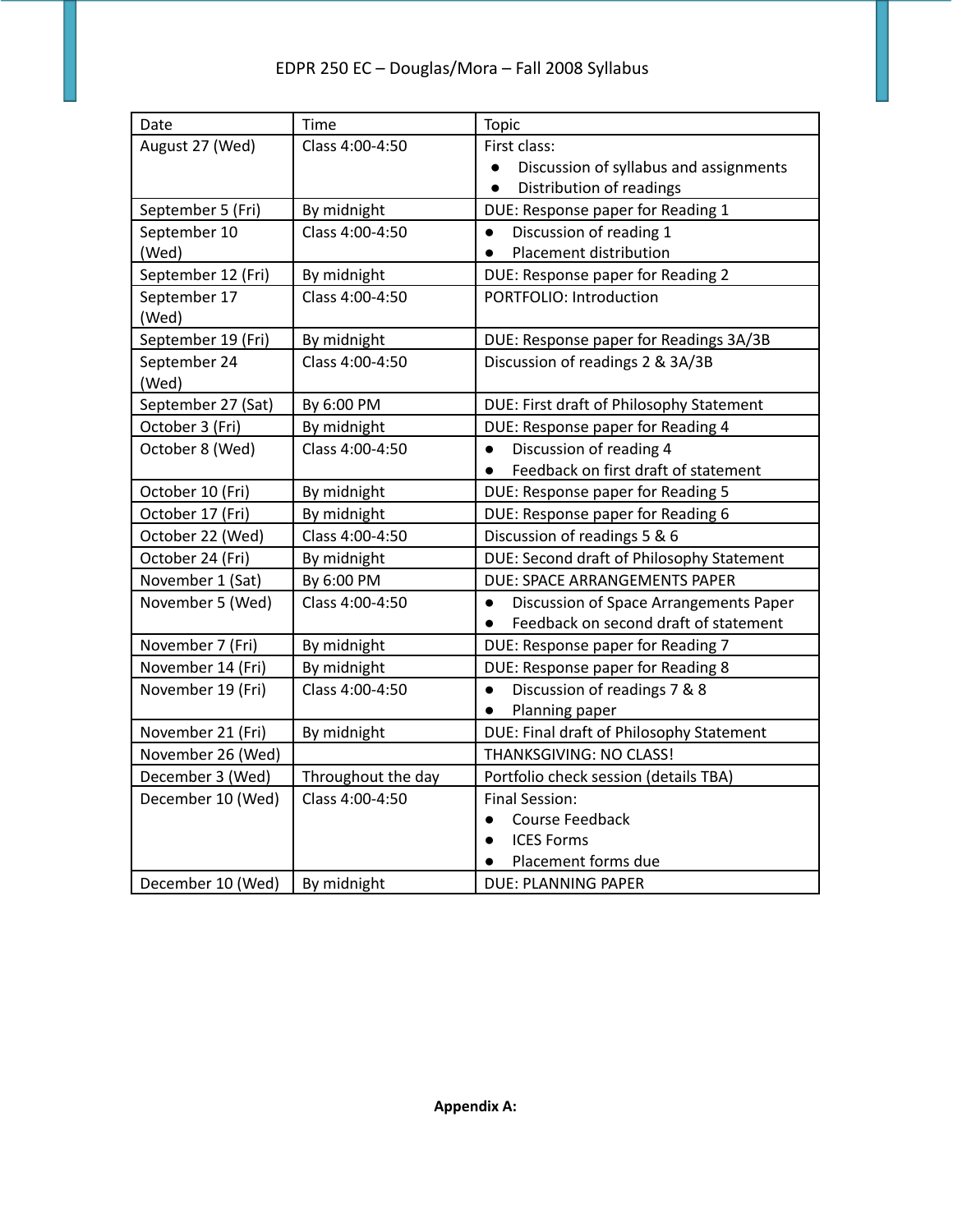| Date               | Time               | <b>Topic</b>                                        |
|--------------------|--------------------|-----------------------------------------------------|
| August 27 (Wed)    | Class 4:00-4:50    | First class:                                        |
|                    |                    | Discussion of syllabus and assignments              |
|                    |                    | Distribution of readings<br>$\bullet$               |
| September 5 (Fri)  | By midnight        | DUE: Response paper for Reading 1                   |
| September 10       | Class 4:00-4:50    | Discussion of reading 1<br>$\bullet$                |
| (Wed)              |                    | Placement distribution<br>$\bullet$                 |
| September 12 (Fri) | By midnight        | DUE: Response paper for Reading 2                   |
| September 17       | Class 4:00-4:50    | PORTFOLIO: Introduction                             |
| (Wed)              |                    |                                                     |
| September 19 (Fri) | By midnight        | DUE: Response paper for Readings 3A/3B              |
| September 24       | Class 4:00-4:50    | Discussion of readings 2 & 3A/3B                    |
| (Wed)              |                    |                                                     |
| September 27 (Sat) | By 6:00 PM         | DUE: First draft of Philosophy Statement            |
| October 3 (Fri)    | By midnight        | DUE: Response paper for Reading 4                   |
| October 8 (Wed)    | Class 4:00-4:50    | Discussion of reading 4<br>$\bullet$                |
|                    |                    | Feedback on first draft of statement<br>$\bullet$   |
| October 10 (Fri)   | By midnight        | DUE: Response paper for Reading 5                   |
| October 17 (Fri)   | By midnight        | DUE: Response paper for Reading 6                   |
| October 22 (Wed)   | Class 4:00-4:50    | Discussion of readings 5 & 6                        |
| October 24 (Fri)   | By midnight        | DUE: Second draft of Philosophy Statement           |
| November 1 (Sat)   | By 6:00 PM         | DUE: SPACE ARRANGEMENTS PAPER                       |
| November 5 (Wed)   | Class 4:00-4:50    | Discussion of Space Arrangements Paper<br>$\bullet$ |
|                    |                    | Feedback on second draft of statement               |
| November 7 (Fri)   | By midnight        | DUE: Response paper for Reading 7                   |
| November 14 (Fri)  | By midnight        | DUE: Response paper for Reading 8                   |
| November 19 (Fri)  | Class 4:00-4:50    | Discussion of readings 7 & 8<br>$\bullet$           |
|                    |                    | Planning paper<br>$\bullet$                         |
| November 21 (Fri)  | By midnight        | DUE: Final draft of Philosophy Statement            |
| November 26 (Wed)  |                    | THANKSGIVING: NO CLASS!                             |
| December 3 (Wed)   | Throughout the day | Portfolio check session (details TBA)               |
| December 10 (Wed)  | Class 4:00-4:50    | <b>Final Session:</b>                               |
|                    |                    | Course Feedback                                     |
|                    |                    | <b>ICES Forms</b><br>$\bullet$                      |
|                    |                    | Placement forms due                                 |
| December 10 (Wed)  | By midnight        | DUE: PLANNING PAPER                                 |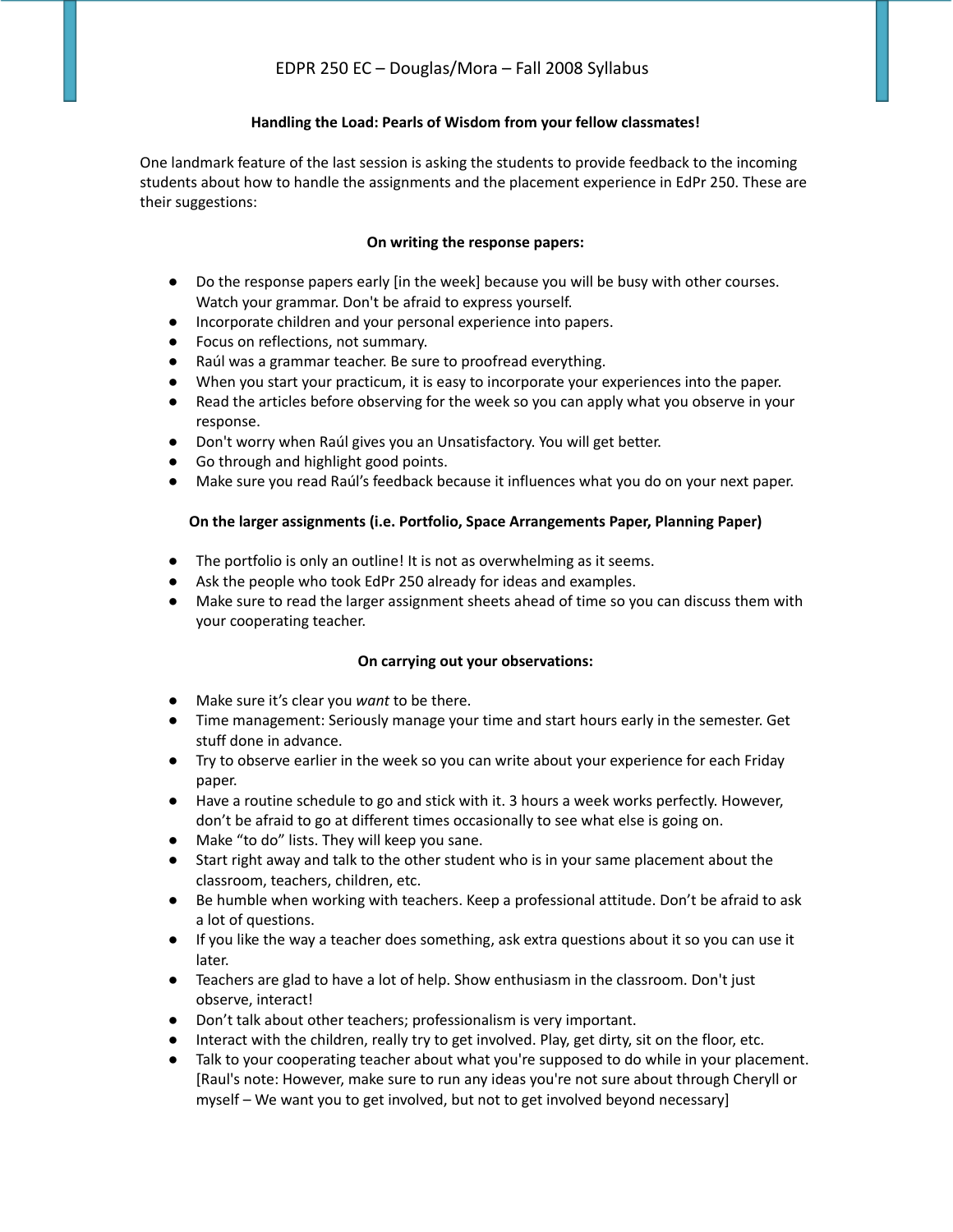### **Handling the Load: Pearls of Wisdom from your fellow classmates!**

One landmark feature of the last session is asking the students to provide feedback to the incoming students about how to handle the assignments and the placement experience in EdPr 250. These are their suggestions:

### **On writing the response papers:**

- Do the response papers early [in the week] because you will be busy with other courses. Watch your grammar. Don't be afraid to express yourself.
- Incorporate children and your personal experience into papers.
- Focus on reflections, not summary.
- Raúl was a grammar teacher. Be sure to proofread everything.
- When you start your practicum, it is easy to incorporate your experiences into the paper.
- Read the articles before observing for the week so you can apply what you observe in your response.
- Don't worry when Raúl gives you an Unsatisfactory. You will get better.
- Go through and highlight good points.
- Make sure you read Raúl's feedback because it influences what you do on your next paper.

### **On the larger assignments (i.e. Portfolio, Space Arrangements Paper, Planning Paper)**

- **●** The portfolio is only an outline! It is not as overwhelming as it seems.
- **●** Ask the people who took EdPr 250 already for ideas and examples.
- **●** Make sure to read the larger assignment sheets ahead of time so you can discuss them with your cooperating teacher.

### **On carrying out your observations:**

- Make sure it's clear you *want* to be there.
- Time management: Seriously manage your time and start hours early in the semester. Get stuff done in advance.
- Try to observe earlier in the week so you can write about your experience for each Friday paper.
- Have a routine schedule to go and stick with it. 3 hours a week works perfectly. However, don't be afraid to go at different times occasionally to see what else is going on.
- Make "to do" lists. They will keep you sane.
- Start right away and talk to the other student who is in your same placement about the classroom, teachers, children, etc.
- Be humble when working with teachers. Keep a professional attitude. Don't be afraid to ask a lot of questions.
- If you like the way a teacher does something, ask extra questions about it so you can use it later.
- Teachers are glad to have a lot of help. Show enthusiasm in the classroom. Don't just observe, interact!
- Don't talk about other teachers; professionalism is very important.
- Interact with the children, really try to get involved. Play, get dirty, sit on the floor, etc.
- Talk to your cooperating teacher about what you're supposed to do while in your placement. [Raul's note: However, make sure to run any ideas you're not sure about through Cheryll or myself – We want you to get involved, but not to get involved beyond necessary]